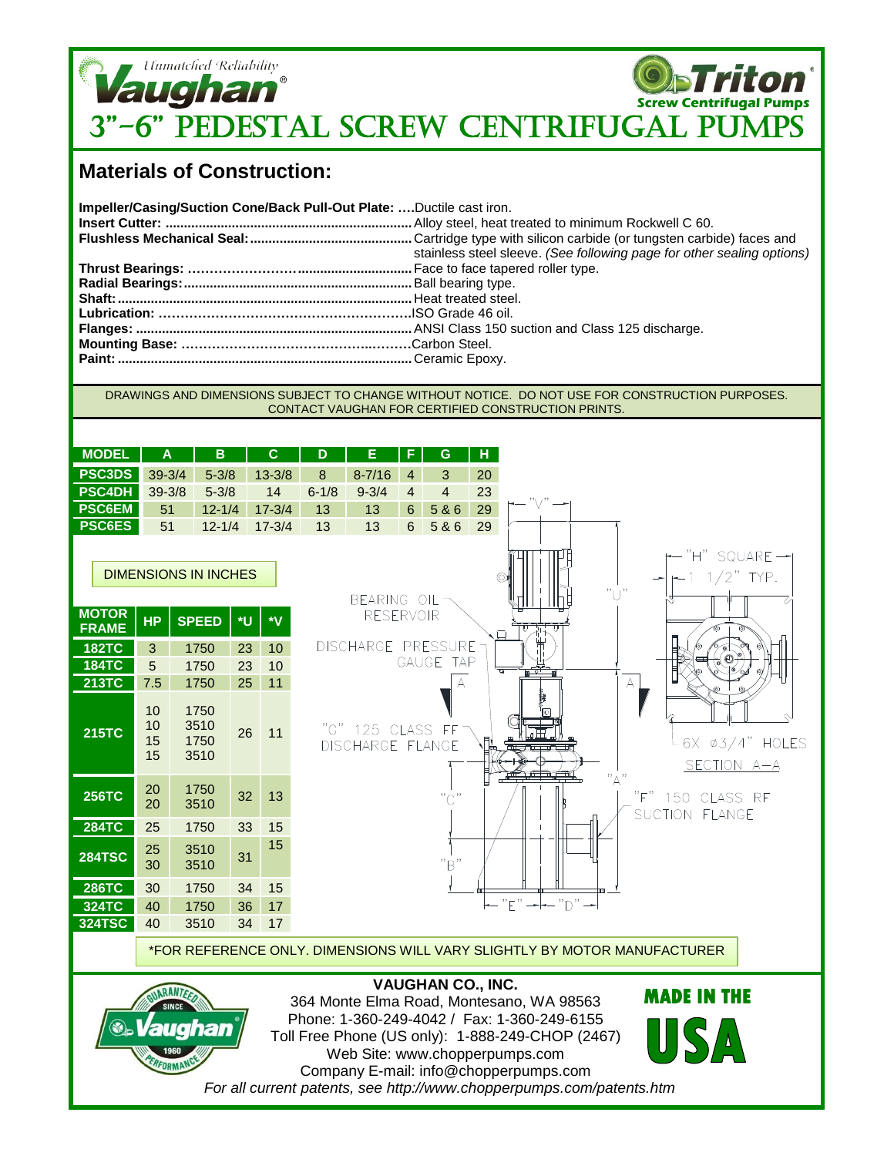

## **Materials of Construction:**

| Impeller/Casing/Suction Cone/Back Pull-Out Plate: Ductile cast iron. |                                                                        |
|----------------------------------------------------------------------|------------------------------------------------------------------------|
|                                                                      |                                                                        |
|                                                                      |                                                                        |
|                                                                      | stainless steel sleeve. (See following page for other sealing options) |
|                                                                      |                                                                        |
|                                                                      |                                                                        |
|                                                                      |                                                                        |
|                                                                      |                                                                        |
|                                                                      |                                                                        |
|                                                                      |                                                                        |
|                                                                      |                                                                        |
|                                                                      |                                                                        |

## DRAWINGS AND DIMENSIONS SUBJECT TO CHANGE WITHOUT NOTICE. DO NOT USE FOR CONSTRUCTION PURPOSES. CONTACT VAUGHAN FOR CERTIFIED CONSTRUCTION PRINTS.